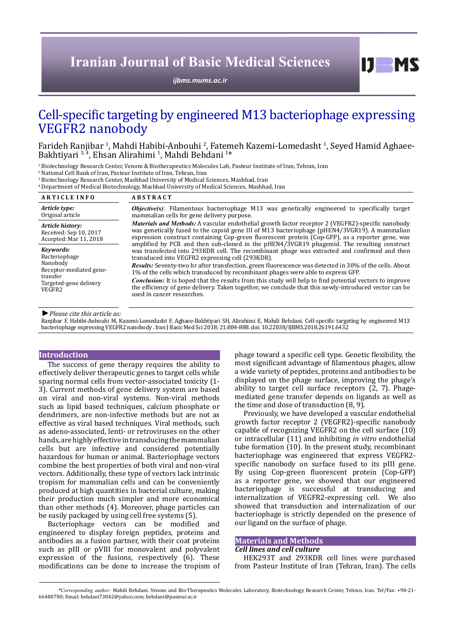# **Iranian Journal of Basic Medical Sciences**

*[ijbms.mums.ac.ir](http://ijbms.mums.ac.ir)*

# Cell-specific targeting by engineered M13 bacteriophage expressing VEGFR2 nanobody

Farideh Ranjibar <sup>1</sup>, Mahdi Habibi-Anbouhi <sup>2</sup>, Fatemeh Kazemi-Lomedasht <sup>1</sup>, Seyed Hamid Aghaee-Bakhtiyari 3,4, Ehsan Alirahimi 1, Mahdi Behdani 1\*

<sup>1</sup> Biotechnology Research Center, Venom & Biotherapeutics Molecules Lab, Pasteur Institute of Iran, Tehran, Iran

2 National Cell Bank of Iran, Pasteur Institute of Iran, Tehran, Iran

3 Biotechnology Research Center, Mashhad University of Medical Sciences, Mashhad, Iran

4 Department of Medical Biotechnology, Mashhad University of Medical Sciences, Mashhad, Iran

| <b>ARTICLE INFO</b>                                                                                               | <b>ABSTRACT</b>                                                                                                                                                                                                                                                                                                                                                                                                                                                                                                                                                                                                                                                                                                                                                                                                                                                                                                                                                                                                        |
|-------------------------------------------------------------------------------------------------------------------|------------------------------------------------------------------------------------------------------------------------------------------------------------------------------------------------------------------------------------------------------------------------------------------------------------------------------------------------------------------------------------------------------------------------------------------------------------------------------------------------------------------------------------------------------------------------------------------------------------------------------------------------------------------------------------------------------------------------------------------------------------------------------------------------------------------------------------------------------------------------------------------------------------------------------------------------------------------------------------------------------------------------|
| Article type:<br>Original article                                                                                 | <b>Objective(s)</b> : Filamentous bacteriophage M13 was genetically engineered to specifically target<br>mammalian cells for gene delivery purpose.                                                                                                                                                                                                                                                                                                                                                                                                                                                                                                                                                                                                                                                                                                                                                                                                                                                                    |
| Article history:<br>Received: Sep 10, 2017<br>Accepted: Mar 11, 2018                                              | <i>Materials and Methods:</i> A vascular endothelial growth factor receptor 2 (VEGFR2)-specific nanobody<br>was genetically fused to the capsid gene III of M13 bacteriophage (pHEN4/3VGR19). A mammalian<br>expression construct containing Cop-green fluorescent protein (Cop-GFP), as a reporter gene, was<br>amplified by PCR and then sub-cloned in the pHEN4/3VGR19 phagemid. The resulting construct<br>was transfected into 293KDR cell. The recombinant phage was extracted and confirmed and then<br>transduced into VEGFR2 expressing cell (293KDR).<br>Results: Seventy-two hr after transfection, green fluorescence was detected in 30% of the cells. About<br>1% of the cells which transduced by recombinant phages were able to express GFP.<br><b>Conclusion:</b> It is hoped that the results from this study will help to find potential vectors to improve<br>the efficiency of gene delivery. Taken together, we conclude that this newly-introduced vector can be<br>used in cancer researches. |
| Kevwords:<br>Bacteriophage<br>Nanobody<br>Receptor-mediated gene-<br>transfer<br>Targeted-gene delivery<br>VEGFR2 |                                                                                                                                                                                                                                                                                                                                                                                                                                                                                                                                                                                                                                                                                                                                                                                                                                                                                                                                                                                                                        |

*►Please cite this article as:*

Ranjibar F, Habibi-Anbouhi M, Kazemi-Lomedasht F, Aghaee-Bakhtiyari SH, Alirahimi E, Mahdi Behdani. Cell-specific targeting by engineered M13 bacteriophage expressing VEGFR2 nanobody . Iran J Basic Med Sci 2018; 21:884-888. doi: 10.22038/IJBMS.2018.26191.6432

#### **Introduction**

The success of gene therapy requires the ability to effectively deliver therapeutic genes to target cells while sparing normal cells from vector-associated toxicity (1- 3). Current methods of gene delivery system are based on viral and non-viral systems. Non-viral methods such as lipid based techniques, calcium phosphate or dendrimers, are non-infective methods but are not as effective as viral based techniques. Viral methods, such as adeno-associated, lenti- or retroviruses on the other hands, are highly effective in transducing the mammalian cells but are infective and considered potentially hazardous for human or animal. Bacteriophage vectors combine the best properties of both viral and non-viral vectors. Additionally, these type of vectors lack intrinsic tropism for mammalian cells and can be conveniently produced at high quantities in bacterial culture, making their production much simpler and more economical than other methods (4). Moreover, phage particles can be easily packaged by using cell free systems (5).

Bacteriophage vectors can be modified and engineered to display foreign peptides, proteins and antibodies as a fusion partner, with their coat proteins such as pIII or pVIII for monovalent and polyvalent expression of the fusions, respectively (6). These modifications can be done to increase the tropism of

phage toward a specific cell type. Genetic flexibility, the most significant advantage of filamentous phages, allow a wide variety of peptides, proteins and antibodies to be displayed on the phage surface, improving the phage's ability to target cell surface receptors (2, 7). Phagemediated gene transfer depends on ligands as well as the time and dose of transduction (8, 9).

 $D$  MS

Previously, we have developed a vascular endothelial growth factor receptor 2 (VEGFR2)-specific nanobody capable of recognizing VEGFR2 on the cell surface (10) or intracellular (11) and inhibiting *in vitro* endothelial tube formation (10). In the present study, recombinant bacteriophage was engineered that express VEGFR2 specific nanobody on surface fused to its pIII gene. By using Cop-green fluorescent protein (Cop-GFP) as a reporter gene, we showed that our engineered bacteriophage is successful at transducing and internalization of VEGFR2-expressing cell. We also showed that transduction and internalization of our bacteriophage is strictly depended on the presence of our ligand on the surface of phage.

#### **Materials and Methods**

## *Cell lines and cell culture*

HEK293T and 293KDR cell lines were purchased from Pasteur Institute of Iran (Tehran, Iran). The cells

*\*Corresponding author:* Mahdi Behdani. Venom and Bio-Therapeutics Molecules Laboratory, Biotechnology Research Center, Tehran, Iran. Tel/Fax: +98-21- 66480780; Email: behdani73042@yahoo.com; behdani@pasteur.ac.ir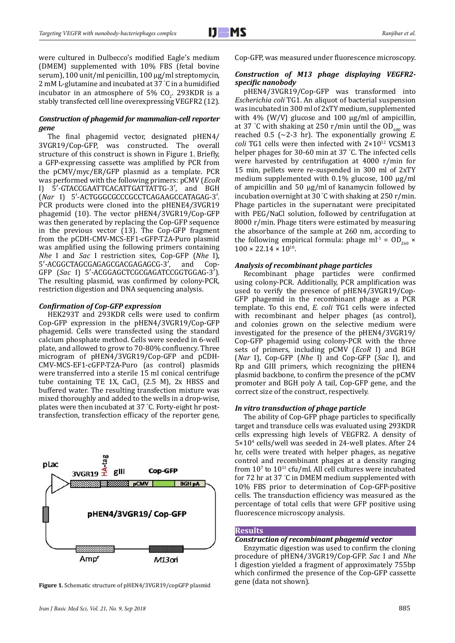were cultured in Dulbecco's modified Eagle's medium (DMEM) supplemented with 10% FBS (fetal bovine serum), 100 unit/ml penicillin, 100 μg/ml streptomycin, 2 mM L-glutamine and incubated at 37 ° C in a humidified incubator in an atmosphere of 5%  $CO<sub>2</sub>$ . 293KDR is a stably transfected cell line overexpressing VEGFR2 (12).

# *Construction of phagemid for mammalian-cell reporter gene*

The final phagemid vector, designated pHEN4/ 3VGR19/Cop-GFP, was constructed. The overall structure of this construct is shown in Figure 1. Briefly, a GFP-expressing cassette was amplified by PCR from the pCMV/myc/ER/GFP plasmid as a template. PCR was performed with the following primers: pCMV (*EcoR*  5'-GTACCGAATTCACATTGATTATTG-3', and BGH (*Nar* I) 5′-ACTGGGCGCCCGCCTCAGAAGCCATAGAG-3′. PCR products were cloned into the pHENE4/3VGR19 phagemid (10). The vector pHEN4/3VGR19/Cop-GFP was then generated by replacing the Cop-GFP sequence in the previous vector (13). The Cop-GFP fragment from the pCDH-CMV-MCS-EF1-cGFP-T2A-Puro plasmid was amplified using the following primers containing *Nhe* I and *Sac* I restriction sites, Cop-GFP (*Nhe* I), 5'-ACGGCTAGCGAGAGCGACGAGAGCG-3', GFP (*Sac* I) 5′-ACGGAGCTCGCGAGATCCGGTGGAG-3′). The resulting plasmid, was confirmed by colony-PCR, restriction digestion and DNA sequencing analysis.

## *Confirmation of Cop-GFP expression*

HEK293T and 293KDR cells were used to confirm Cop-GFP expression in the pHEN4/3VGR19/Cop-GFP phagemid. Cells were transfected using the standard calcium phosphate method. Cells were seeded in 6-well plate, and allowed to grow to 70-80% confluency. Three microgram of pHEN4/3VGR19/Cop-GFP and pCDH-CMV-MCS-EF1-cGFP-T2A-Puro (as control) plasmids were transferred into a sterile 15 ml conical centrifuge tube containing TE 1X, CaCl<sub>2</sub> (2.5 M), 2x HBSS and  $\frac{1}{2}$ buffered water. The resulting transfection mixture was mixed thoroughly and added to the wells in a drop-wise, plates were then incubated at 37 ° C. Forty-eight hr posttransfection, transfection efficacy of the reporter gene,



Figure 1. Schematic structure of pHEN4/3VGR19/copGFP plasmid

*Iran J Basic Med Sci, Vol. 21, No. 9, Sep 2018* 885

Cop-GFP, was measured under fluorescence microscopy.

# *Construction of M13 phage displaying VEGFR2 specific nanobody*

pHEN4/3VGR19/Cop-GFP was transformed into *Escherichia coli* TG1. An aliquot of bacterial suspension was incubated in 300 ml of 2xTY medium, supplemented with 4% (W/V) glucose and 100  $\mu$ g/ml of ampicillin, at 37 °C with shaking at 250 r/min until the  $OD_{600}$  was reached 0.5 (∼2-3 hr). The exponentially growing *E. coli* TG1 cells were then infected with 2×1012 VCSM13 helper phages for 30-60 min at 37 ° C. The infected cells were harvested by centrifugation at 4000 r/min for 15 min, pellets were re-suspended in 300 ml of 2xTY medium supplemented with 0.1% glucose, 100 µg/ml of ampicillin and 50 µg/ml of kanamycin followed by incubation overnight at 30 ° C with shaking at 250 r/min. Phage particles in the supernatant were precipitated with PEG/NaCl solution, followed by centrifugation at 8000 r/min. Phage titers were estimated by measuring the absorbance of the sample at 260 nm, according to the following empirical formula: phage ml<sup>-1</sup> =  $OD_{260}$  ×  $100 \times 22.14 \times 10^{10}$ .

## *Analysis of recombinant phage particles*

Recombinant phage particles were confirmed using colony-PCR. Additionally, PCR amplification was used to verify the presence of pHEN4/3VGR19/Cop-GFP phagemid in the recombinant phage as a PCR template. To this end, *E. coli* TG1 cells were infected with recombinant and helper phages (as control), and colonies grown on the selective medium were investigated for the presence of the pHEN4/3VGR19/ Cop-GFP phagemid using colony-PCR with the three sets of primers, including pCMV (*EcoR* I) and BGH (*Nar* I), Cop-GFP (*Nhe* I) and Cop-GFP (*Sac* I), and Rp and GIII primers, which recognizing the pHEN4 plasmid backbone, to confirm the presence of the pCMV promoter and BGH poly A tail, Cop-GFP gene, and the correct size of the construct, respectively.

## *In vitro transduction of phage particle*

The ability of Cop-GFP phage particles to specifically target and transduce cells was evaluated using 293KDR cells expressing high levels of VEGFR2. A density of 5×104 cells/well was seeded in 24-well plates. After 24 hr, cells were treated with helper phages, as negative control and recombinant phages at a density ranging from  $10^7$  to  $10^{11}$  cfu/ml. All cell cultures were incubated for 72 hr at 37 ° C in DMEM medium supplemented with 10% FBS prior to determination of Cop-GFP-positive cells. The transduction efficiency was measured as the percentage of total cells that were GFP positive using fluorescence microscopy analysis.

## **Results**

## *Construction of recombinant phagemid vector*

Enzymatic digestion was used to confirm the cloning procedure of pHEN4/3VGR19/Cop-GFP. *Sac* I and *Nhe*  I digestion yielded a fragment of approximately 755bp which confirmed the presence of the Cop-GFP cassette gene (data not shown).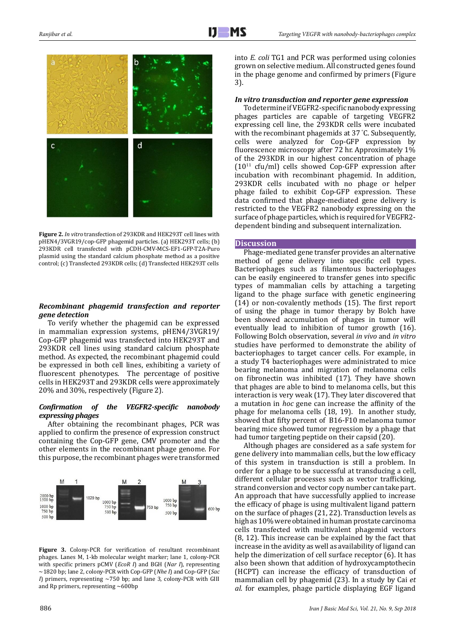

**Figure 2.** *In vitro* transfection of 293KDR and HEK293T cell lines with pHEN4/3VGR19/cop-GFP phagemid particles. (a) HEK293T cells; (b) 293KDR cell transfected with pCDH-CMV-MCS-EF1-GFP-T2A-Puro plasmid using the standard calcium phosphate method as a positive control; (c) Transfected 293KDR cells; (d) Transfected HEK293T cells

## *Recombinant phagemid transfection and reporter gene detection*

To verify whether the phagemid can be expressed in mammalian expression systems, pHEN4/3VGR19/ Cop-GFP phagemid was transfected into HEK293T and 293KDR cell lines using standard calcium phosphate method. As expected, the recombinant phagemid could be expressed in both cell lines, exhibiting a variety of fluorescent phenotypes. The percentage of positive cells in HEK293T and 293KDR cells were approximately 20% and 30%, respectively (Figure 2).

## *Confirmation of the VEGFR2-specific nanobody expressing phages*

After obtaining the recombinant phages, PCR was applied to confirm the presence of expression construct containing the Cop-GFP gene, CMV promoter and the other elements in the recombinant phage genome. For this purpose, the recombinant phages were transformed



**Figure 3.** Colony-PCR for verification of resultant recombinant phages. Lanes M, 1-kb molecular weight marker; lane 1, colony-PCR with specific primers pCMV (*EcoR I*) and BGH (*Nar I*), representing ~1820 bp; lane 2, colony-PCR with Cop-GFP (*Nhe I*) and Cop-GFP (*Sac I*) primers, representing  $\sim$ 750 bp; and lane 3, colony-PCR with GIII and Rp primers, representing ~600bp

into *E. coli* TG1 and PCR was performed using colonies grown on selective medium. All constructed genes found in the phage genome and confirmed by primers (Figure 3).

## *In vitro transduction and reporter gene expression*

To determine if VEGFR2-specific nanobody expressing phages particles are capable of targeting VEGFR2 expressing cell line, the 293KDR cells were incubated with the recombinant phagemids at 37 ° C. Subsequently, cells were analyzed for Cop-GFP expression by fluorescence microscopy after 72 hr. Approximately 1% of the 293KDR in our highest concentration of phage  $(10^{11}$  cfu/ml) cells showed Cop-GFP expression after incubation with recombinant phagemid. In addition, 293KDR cells incubated with no phage or helper phage failed to exhibit Cop-GFP expression. These data confirmed that phage-mediated gene delivery is restricted to the VEGFR2 nanobody expressing on the surface of phage particles, which is required for VEGFR2 dependent binding and subsequent internalization.

#### **Discussion**

Phage-mediated gene transfer provides an alternative method of gene delivery into specific cell types. Bacteriophages such as filamentous bacteriophages can be easily engineered to transfer genes into specific types of mammalian cells by attaching a targeting ligand to the phage surface with genetic engineering (14) or non-covalently methods (15). The first report of using the phage in tumor therapy by Bolch have been showed accumulation of phages in tumor will eventually lead to inhibition of tumor growth (16). Following Bolch observation, several *in vivo* and *in vitro* studies have performed to demonstrate the ability of bacteriophages to target cancer cells. For example, in a study T4 bacteriophages were administrated to mice bearing melanoma and migration of melanoma cells on fibronectin was inhibited (17). They have shown that phages are able to bind to melanoma cells, but this interaction is very weak (17). They later discovered that a mutation in *hoc* gene can increase the affinity of the phage for melanoma cells (18, 19). In another study, showed that fifty percent of B16-F10 melanoma tumor bearing mice showed tumor regression by a phage that had tumor targeting peptide on their capsid (20).

Although phages are considered as a safe system for gene delivery into mammalian cells, but the low efficacy of this system in transduction is still a problem. In order for a phage to be successful at transducing a cell, different cellular processes such as vector trafficking, strand conversion and vector copy number can take part. An approach that have successfully applied to increase the efficacy of phage is using multivalent ligand pattern on the surface of phages (21, 22). Transduction levels as high as 10% were obtained in human prostate carcinoma cells transfected with multivalent phagemid vectors (8, 12). This increase can be explained by the fact that increase in the avidity as well as availability of ligand can help the dimerization of cell surface receptor (6). It has also been shown that addition of hydroxycamptothecin (HCPT) can increase the efficacy of transduction of mammalian cell by phagemid (23). In a study by Cai *et al.* for examples, phage particle displaying EGF ligand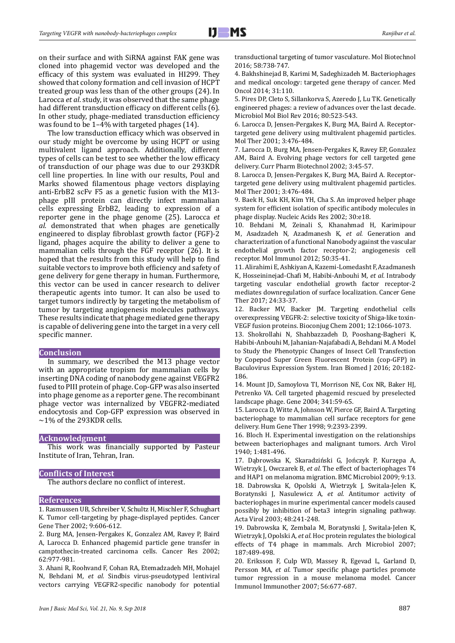on their surface and with SiRNA against FAK gene was cloned into phagemid vector was developed and the efficacy of this system was evaluated in HI299. They showed that colony formation and cell invasion of HCPT treated group was less than of the other groups (24). In Larocca *et al*. study, it was observed that the same phage had different transduction efficacy on different cells (6). In other study, phage-mediated transduction efficiency was found to be 1–4% with targeted phages (14).

The low transduction efficacy which was observed in our study might be overcome by using HCPT or using multivalent ligand approach. Additionally, different types of cells can be test to see whether the low efficacy of transduction of our phage was due to our 293KDR cell line properties. In line with our results, Poul and Marks showed filamentous phage vectors displaying anti-ErbB2 scFv F5 as a genetic fusion with the M13 phage pIII protein can directly infect mammalian cells expressing ErbB2, leading to expression of a reporter gene in the phage genome (25). Larocca *et al.* demonstrated that when phages are genetically engineered to display fibroblast growth factor (FGF)-2 ligand, phages acquire the ability to deliver a gene to mammalian cells through the FGF receptor (26). It is hoped that the results from this study will help to find suitable vectors to improve both efficiency and safety of gene delivery for gene therapy in human. Furthermore, this vector can be used in cancer research to deliver therapeutic agents into tumor. It can also be used to target tumors indirectly by targeting the metabolism of tumor by targeting angiogenesis molecules pathways. These results indicate that phage mediated gene therapy is capable of delivering gene into the target in a very cell specific manner.

#### **Conclusion**

In summary, we described the M13 phage vector with an appropriate tropism for mammalian cells by inserting DNA coding of nanobody gene against VEGFR2 fused to PIII protein of phage. Cop-GFP was also inserted into phage genome as a reporter gene. The recombinant phage vector was internalized by VEGFR2-mediated endocytosis and Cop-GFP expression was observed in  $\sim$ 1% of the 293KDR cells.

#### **Acknowledgment**

This work was financially supported by Pasteur Institute of Iran, Tehran, Iran.

#### **Conflicts of Interest**

The authors declare no conflict of interest.

#### **References**

1. Rasmussen UB, Schreiber V, Schultz H, Mischler F, Schughart K. Tumor cell-targeting by phage-displayed peptides. Cancer Gene Ther 2002; 9:606-612.

2. Burg MA, Jensen-Pergakes K, Gonzalez AM, Ravey P, Baird A, Larocca D. Enhanced phagemid particle gene transfer in camptothecin-treated carcinoma cells. Cancer Res 2002; 62:977-981.

3. Ahani R, Roohvand F, Cohan RA, Etemadzadeh MH, Mohajel N, Behdani M*, et al.* Sindbis virus-pseudotyped lentiviral vectors carrying VEGFR2-specific nanobody for potential

transductional targeting of tumor vasculature. Mol Biotechnol 2016; 58:738-747.

4. Bakhshinejad B, Karimi M, Sadeghizadeh M. Bacteriophages and medical oncology: targeted gene therapy of cancer. Med Oncol 2014; 31:110.

5. Pires DP, Cleto S, Sillankorva S, Azeredo J, Lu TK. Genetically engineered phages: a review of advances over the last decade. Microbiol Mol Biol Rev 2016; 80:523-543.

6. Larocca D, Jensen-Pergakes K, Burg MA, Baird A. Receptortargeted gene delivery using multivalent phagemid particles. Mol Ther 2001; 3:476-484.

7. Larocca D, Burg MA, Jensen-Pergakes K, Ravey EP, Gonzalez AM, Baird A. Evolving phage vectors for cell targeted gene delivery. Curr Pharm Biotechnol 2002; 3:45-57.

8. Larocca D, Jensen-Pergakes K, Burg MA, Baird A. Receptortargeted gene delivery using multivalent phagemid particles. Mol Ther 2001; 3:476-484.

9. Baek H, Suk KH, Kim YH, Cha S. An improved helper phage system for efficient isolation of specific antibody molecules in phage display. Nucleic Acids Res 2002; 30:e18.

10. Behdani M, Zeinali S, Khanahmad H, Karimipour M, Asadzadeh N, Azadmanesh K*, et al.* Generation and characterization of a functional Nanobody against the vascular endothelial growth factor receptor-2; angiogenesis cell receptor. Mol Immunol 2012; 50:35-41.

11. Alirahimi E, Ashkiyan A, Kazemi-Lomedasht F, Azadmanesh K, Hosseininejad-Chafi M, Habibi-Anbouhi M*, et al.* Intrabody targeting vascular endothelial growth factor receptor-2 mediates downregulation of surface localization. Cancer Gene Ther 2017; 24:33-37.

12. Backer MV, Backer JM. Targeting endothelial cells overexpressing VEGFR-2: selective toxicity of Shiga-like toxin-VEGF fusion proteins. Bioconjug Chem 2001; 12:1066-1073.

13. Shokrollahi N, Shahbazzadeh D, Pooshang-Bagheri K, Habibi-Anbouhi M, Jahanian-Najafabadi A, Behdani M. A Model to Study the Phenotypic Changes of Insect Cell Transfection by Copepod Super Green Fluorescent Protein (cop-GFP) in Baculovirus Expression System. Iran Biomed J 2016; 20:182- 186.

14. Mount JD, Samoylova TI, Morrison NE, Cox NR, Baker HJ, Petrenko VA. Cell targeted phagemid rescued by preselected landscape phage. Gene 2004; 341:59-65.

15. Larocca D, Witte A, Johnson W, Pierce GF, Baird A. Targeting bacteriophage to mammalian cell surface receptors for gene delivery. Hum Gene Ther 1998; 9:2393-2399.

16. Bloch H. Experimental investigation on the relationships between bacteriophages and malignant tumors. Arch Virol 1940; 1:481-496.

17. Dąbrowska K, Skaradziński G, Jończyk P, Kurzępa A, Wietrzyk J, Owczarek B*, et al.* The effect of bacteriophages T4 and HAP1 on melanoma migration. BMC Microbiol 2009; 9:13. 18. Dabrowska K, Opolski A, Wietrzyk J, Switala-Jelen K, Boratynski J, Nasulewicz A*, et al.* Antitumor activity of bacteriophages in murine experimental cancer models caused possibly by inhibition of beta3 integrin signaling pathway. Acta Virol 2003; 48:241-248.

19. Dabrowska K, Zembala M, Boratynski J, Switala-Jelen K, Wietrzyk J, Opolski A*, et al.* Hoc protein regulates the biological effects of T4 phage in mammals. Arch Microbiol 2007; 187:489-498.

20. Eriksson F, Culp WD, Massey R, Egevad L, Garland D, Persson MA*, et al.* Tumor specific phage particles promote tumor regression in a mouse melanoma model. Cancer Immunol Immunother 2007; 56:677-687.